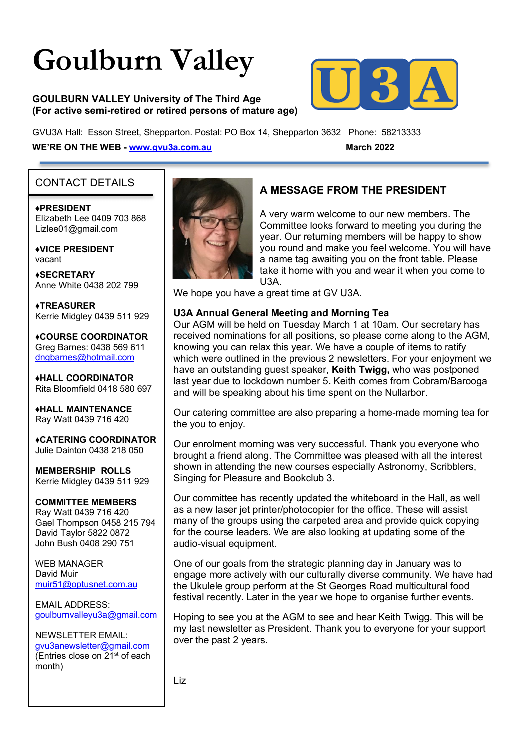# **Goulburn Valley**

#### **GOULBURN VALLEY University of The Third Age (For active semi-retired or retired persons of mature age)**



GVU3A Hall: Esson Street, Shepparton. Postal: PO Box 14, Shepparton 3632 Phone: 58213333 **WE'RE ON THE WEB - www.gvu3a.com.au March 2022** 

#### CONTACT DETAILS

♦**PRESIDENT** Elizabeth Lee 0409 703 868 Lizlee01@gmail.com

♦**VICE PRESIDENT** vacant

**♦SECRETARY** Anne White 0438 202 799

**♦TREASURER** Kerrie Midgley 0439 511 929

♦**COURSE COORDINATOR**  Greg Barnes: 0438 569 611 dngbarnes@hotmail.com

♦**HALL COORDINATOR** Rita Bloomfield 0418 580 697

♦**HALL MAINTENANCE**  Ray Watt 0439 716 420

♦**CATERING COORDINATOR** Julie Dainton 0438 218 050

**MEMBERSHIP ROLLS** Kerrie Midgley 0439 511 929

# **COMMITTEE MEMBERS**

Ray Watt 0439 716 420 Gael Thompson 0458 215 794 David Taylor 5822 0872 John Bush 0408 290 751

WEB MANAGER David Muir muir51@optusnet.com.au

EMAIL ADDRESS: goulburnvalleyu3a@gmail.com

#### NEWSLETTER EMAIL:

gvu3anewsletter@gmail.com (Entries close on 21<sup>st</sup> of each month)



# **A MESSAGE FROM THE PRESIDENT**

A very warm welcome to our new members. The Committee looks forward to meeting you during the year. Our returning members will be happy to show you round and make you feel welcome. You will have a name tag awaiting you on the front table. Please take it home with you and wear it when you come to U3A.

We hope you have a great time at GV U3A.

#### **U3A Annual General Meeting and Morning Tea**

Our AGM will be held on Tuesday March 1 at 10am. Our secretary has received nominations for all positions, so please come along to the AGM, knowing you can relax this year. We have a couple of items to ratify which were outlined in the previous 2 newsletters. For your enjoyment we have an outstanding guest speaker, **Keith Twigg,** who was postponed last year due to lockdown number 5**.** Keith comes from Cobram/Barooga and will be speaking about his time spent on the Nullarbor.

Our catering committee are also preparing a home-made morning tea for the you to enjoy.

Our enrolment morning was very successful. Thank you everyone who brought a friend along. The Committee was pleased with all the interest shown in attending the new courses especially Astronomy, Scribblers, Singing for Pleasure and Bookclub 3.

Our committee has recently updated the whiteboard in the Hall, as well as a new laser jet printer/photocopier for the office. These will assist many of the groups using the carpeted area and provide quick copying for the course leaders. We are also looking at updating some of the audio-visual equipment.

One of our goals from the strategic planning day in January was to engage more actively with our culturally diverse community. We have had the Ukulele group perform at the St Georges Road multicultural food festival recently. Later in the year we hope to organise further events.

Hoping to see you at the AGM to see and hear Keith Twigg. This will be my last newsletter as President. Thank you to everyone for your support over the past 2 years.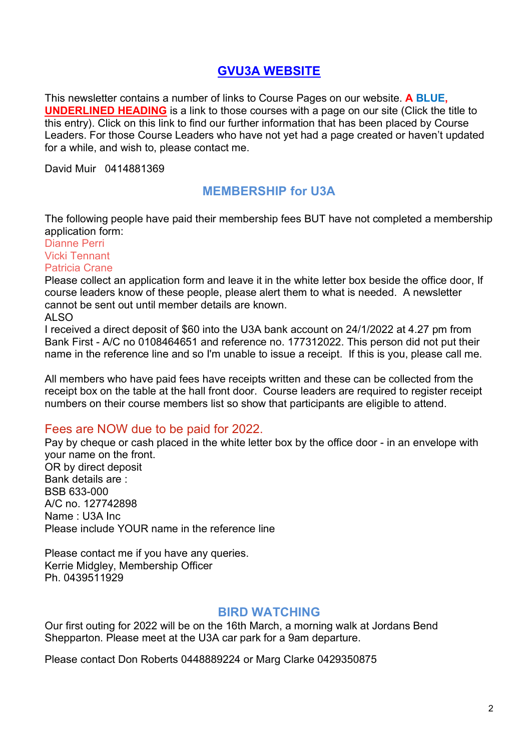# **[GVU3A WEBSITE](https://www.gvu3a.com.au/)**

This newsletter contains a number of links to Course Pages on our website. **A BLUE, UNDERLINED HEADING** is a link to those courses with a page on our site (Click the title to this entry). Click on this link to find our further information that has been placed by Course Leaders. For those Course Leaders who have not yet had a page created or haven't updated for a while, and wish to, please contact me.

David Muir 0414881369

# **MEMBERSHIP for U3A**

The following people have paid their membership fees BUT have not completed a membership application form:

Dianne Perri Vicki Tennant Patricia Crane

Please collect an application form and leave it in the white letter box beside the office door, If course leaders know of these people, please alert them to what is needed. A newsletter cannot be sent out until member details are known.

ALSO

I received a direct deposit of \$60 into the U3A bank account on 24/1/2022 at 4.27 pm from Bank First - A/C no 0108464651 and reference no. 177312022. This person did not put their name in the reference line and so I'm unable to issue a receipt. If this is you, please call me.

All members who have paid fees have receipts written and these can be collected from the receipt box on the table at the hall front door. Course leaders are required to register receipt numbers on their course members list so show that participants are eligible to attend.

# Fees are NOW due to be paid for 2022.

Pay by cheque or cash placed in the white letter box by the office door - in an envelope with your name on the front. OR by direct deposit Bank details are : BSB 633-000 A/C no. 127742898 Name : U3A Inc Please include YOUR name in the reference line

Please contact me if you have any queries. Kerrie Midgley, Membership Officer Ph. 0439511929

#### **BIRD WATCHING**

Our first outing for 2022 will be on the 16th March, a morning walk at Jordans Bend Shepparton. Please meet at the U3A car park for a 9am departure.

Please contact Don Roberts 0448889224 or Marg Clarke 0429350875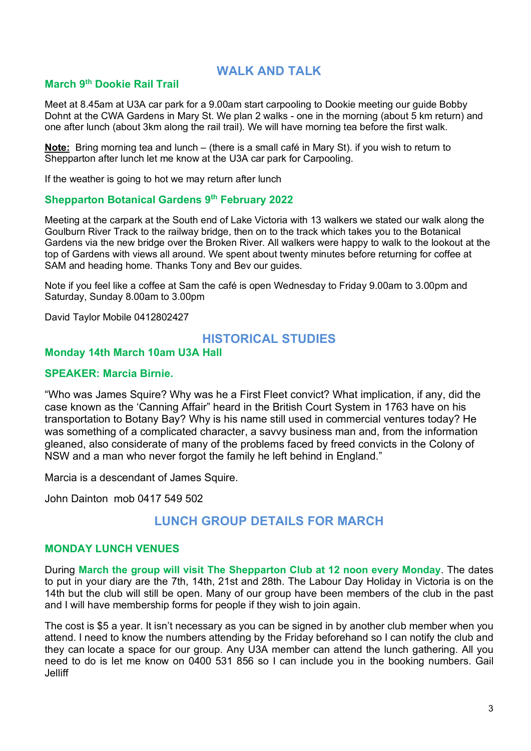# **WALK AND TALK**

# **March 9th Dookie Rail Trail**

Meet at 8.45am at U3A car park for a 9.00am start carpooling to Dookie meeting our guide Bobby Dohnt at the CWA Gardens in Mary St. We plan 2 walks - one in the morning (about 5 km return) and one after lunch (about 3km along the rail trail). We will have morning tea before the first walk.

**Note:** Bring morning tea and lunch – (there is a small café in Mary St). if you wish to return to Shepparton after lunch let me know at the U3A car park for Carpooling.

If the weather is going to hot we may return after lunch

#### **Shepparton Botanical Gardens 9th February 2022**

Meeting at the carpark at the South end of Lake Victoria with 13 walkers we stated our walk along the Goulburn River Track to the railway bridge, then on to the track which takes you to the Botanical Gardens via the new bridge over the Broken River. All walkers were happy to walk to the lookout at the top of Gardens with views all around. We spent about twenty minutes before returning for coffee at SAM and heading home. Thanks Tony and Bev our guides.

Note if you feel like a coffee at Sam the café is open Wednesday to Friday 9.00am to 3.00pm and Saturday, Sunday 8.00am to 3.00pm

David Taylor Mobile 0412802427

### **HISTORICAL STUDIES**

#### **Monday 14th March 10am U3A Hall**

#### **SPEAKER: Marcia Birnie.**

"Who was James Squire? Why was he a First Fleet convict? What implication, if any, did the case known as the 'Canning Affair" heard in the British Court System in 1763 have on his transportation to Botany Bay? Why is his name still used in commercial ventures today? He was something of a complicated character, a savvy business man and, from the information gleaned, also considerate of many of the problems faced by freed convicts in the Colony of NSW and a man who never forgot the family he left behind in England."

Marcia is a descendant of James Squire.

John Dainton mob 0417 549 502

# **LUNCH GROUP DETAILS FOR MARCH**

#### **MONDAY LUNCH VENUES**

During **March the group will visit The Shepparton Club at 12 noon every Monday**. The dates to put in your diary are the 7th, 14th, 21st and 28th. The Labour Day Holiday in Victoria is on the 14th but the club will still be open. Many of our group have been members of the club in the past and I will have membership forms for people if they wish to join again.

The cost is \$5 a year. It isn't necessary as you can be signed in by another club member when you attend. I need to know the numbers attending by the Friday beforehand so I can notify the club and they can locate a space for our group. Any U3A member can attend the lunch gathering. All you need to do is let me know on 0400 531 856 so I can include you in the booking numbers. Gail Jelliff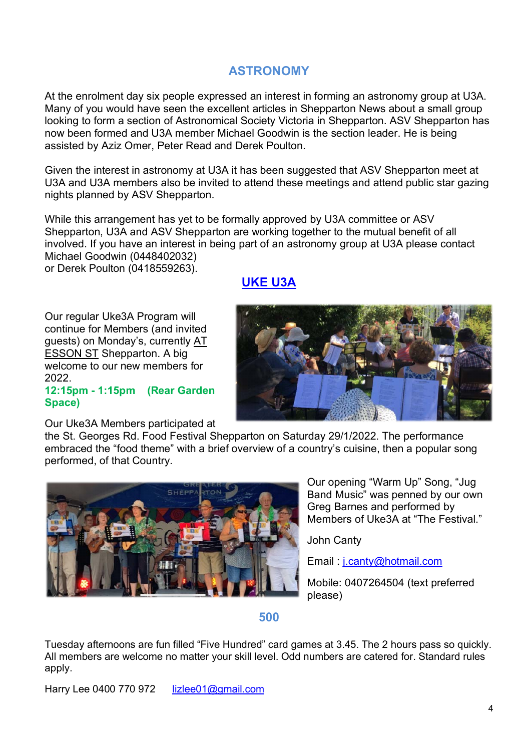# **ASTRONOMY**

At the enrolment day six people expressed an interest in forming an astronomy group at U3A. Many of you would have seen the excellent articles in Shepparton News about a small group looking to form a section of Astronomical Society Victoria in Shepparton. ASV Shepparton has now been formed and U3A member Michael Goodwin is the section leader. He is being assisted by Aziz Omer, Peter Read and Derek Poulton.

Given the interest in astronomy at U3A it has been suggested that ASV Shepparton meet at U3A and U3A members also be invited to attend these meetings and attend public star gazing nights planned by ASV Shepparton.

While this arrangement has yet to be formally approved by U3A committee or ASV Shepparton, U3A and ASV Shepparton are working together to the mutual benefit of all involved. If you have an interest in being part of an astronomy group at U3A please contact Michael Goodwin (0448402032) or Derek Poulton (0418559263).

**[UKE U3A](https://www.gvu3a.com.au/uke3a)**

Our regular Uke3A Program will continue for Members (and invited guests) on Monday's, currently AT ESSON ST Shepparton. A big welcome to our new members for 2022.

#### **12:15pm - 1:15pm (Rear Garden Space)**

Our Uke3A Members participated at



the St. Georges Rd. Food Festival Shepparton on Saturday 29/1/2022. The performance embraced the "food theme" with a brief overview of a country's cuisine, then a popular song performed, of that Country.



Our opening "Warm Up" Song, "Jug Band Music" was penned by our own Greg Barnes and performed by Members of Uke3A at "The Festival."

John Canty

Email : j.canty@hotmail.com

Mobile: 0407264504 (text preferred please)

#### **500**

Tuesday afternoons are fun filled "Five Hundred" card games at 3.45. The 2 hours pass so quickly. All members are welcome no matter your skill level. Odd numbers are catered for. Standard rules apply.

Harry Lee 0400 770 972 lizlee01@gmail.com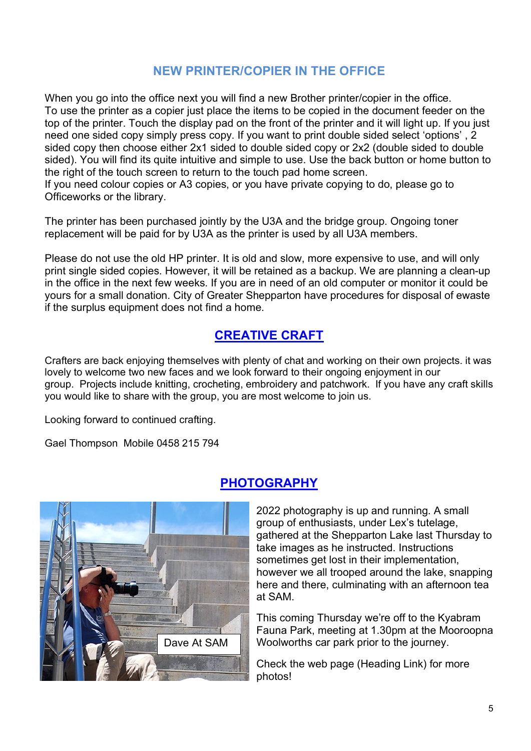# **NEW PRINTER/COPIER IN THE OFFICE**

When you go into the office next you will find a new Brother printer/copier in the office. To use the printer as a copier just place the items to be copied in the document feeder on the top of the printer. Touch the display pad on the front of the printer and it will light up. If you just need one sided copy simply press copy. If you want to print double sided select 'options' , 2 sided copy then choose either 2x1 sided to double sided copy or 2x2 (double sided to double sided). You will find its quite intuitive and simple to use. Use the back button or home button to the right of the touch screen to return to the touch pad home screen. If you need colour copies or A3 copies, or you have private copying to do, please go to

Officeworks or the library.

The printer has been purchased jointly by the U3A and the bridge group. Ongoing toner replacement will be paid for by U3A as the printer is used by all U3A members.

Please do not use the old HP printer. It is old and slow, more expensive to use, and will only print single sided copies. However, it will be retained as a backup. We are planning a clean-up in the office in the next few weeks. If you are in need of an old computer or monitor it could be yours for a small donation. City of Greater Shepparton have procedures for disposal of ewaste if the surplus equipment does not find a home.

# **[CREATIVE CRAFT](https://www.gvu3a.com.au/creative-craft)**

Crafters are back enjoying themselves with plenty of chat and working on their own projects. it was lovely to welcome two new faces and we look forward to their ongoing enjoyment in our group. Projects include knitting, crocheting, embroidery and patchwork. If you have any craft skills you would like to share with the group, you are most welcome to join us.

Looking forward to continued crafting.

Gael Thompson Mobile 0458 215 794



# **[PHOTOGRAPHY](https://www.gvu3a.com.au/photography)**

2022 photography is up and running. A small group of enthusiasts, under Lex's tutelage, gathered at the Shepparton Lake last Thursday to take images as he instructed. Instructions sometimes get lost in their implementation, however we all trooped around the lake, snapping here and there, culminating with an afternoon tea at SAM.

This coming Thursday we're off to the Kyabram Fauna Park, meeting at 1.30pm at the Mooroopna Woolworths car park prior to the journey.

Check the web page (Heading Link) for more photos!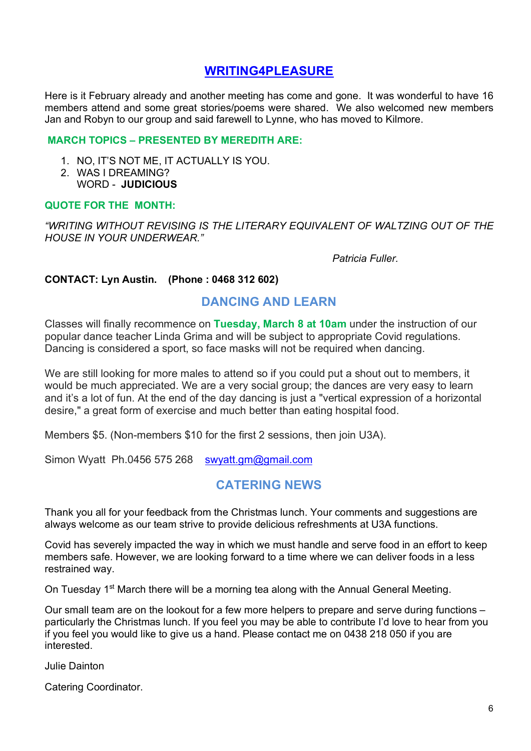# **WRITING4PLEASURE**

Here is it February already and another meeting has come and gone. It was wonderful to have 16 members attend and some great stories/poems were shared. We also welcomed new members Jan and Robyn to our group and said farewell to Lynne, who has moved to Kilmore.

#### **MARCH TOPICS – PRESENTED BY MEREDITH ARE:**

- 1. NO, IT'S NOT ME, IT ACTUALLY IS YOU.
- 2. WAS I DREAMING? WORD - **JUDICIOUS**

#### **QUOTE FOR THE MONTH:**

*"WRITING WITHOUT REVISING IS THE LITERARY EQUIVALENT OF WALTZING OUT OF THE HOUSE IN YOUR UNDERWEAR."*

 *Patricia Fuller.*

#### **CONTACT: Lyn Austin. (Phone : 0468 312 602)**

#### **DANCING AND LEARN**

Classes will finally recommence on **Tuesday, March 8 at 10am** under the instruction of our popular dance teacher Linda Grima and will be subject to appropriate Covid regulations. Dancing is considered a sport, so face masks will not be required when dancing.

We are still looking for more males to attend so if you could put a shout out to members, it would be much appreciated. We are a very social group; the dances are very easy to learn and it's a lot of fun. At the end of [the day dancing is just a "vertical expression of a horizontal](https://www.gvu3a.com.au/writing-for-pleasure)  desire," a great form of exercise and much better than eating hospital food.

Members \$5. (Non-members \$10 for the first 2 sessions, then join U3A).

Simon Wyatt Ph.0456 575 268 swyatt.gm@gmail.com

# **CATERING NEWS**

Thank you all for your feedback from the Christmas lunch. Your comments and suggestions are always welcome as our team strive to provide delicious refreshments at U3A functions.

Covid has severely impacted the way in which we must handle and serve food in an effort to keep members safe. However, we are looking forward to a time where we can deliver foods in a less restrained way.

On Tuesday 1<sup>st</sup> March there will be a morning tea along with the Annual General Meeting.

Our small team are on the lookout for a few more helpers to prepare and serve during functions – particularly the Christmas lunch. If you feel you may be able to contribute I'd love to hear from you if you feel you would like to give us a hand. Please contact me on 0438 218 050 if you are interested.

Julie Dainton

Catering Coordinator.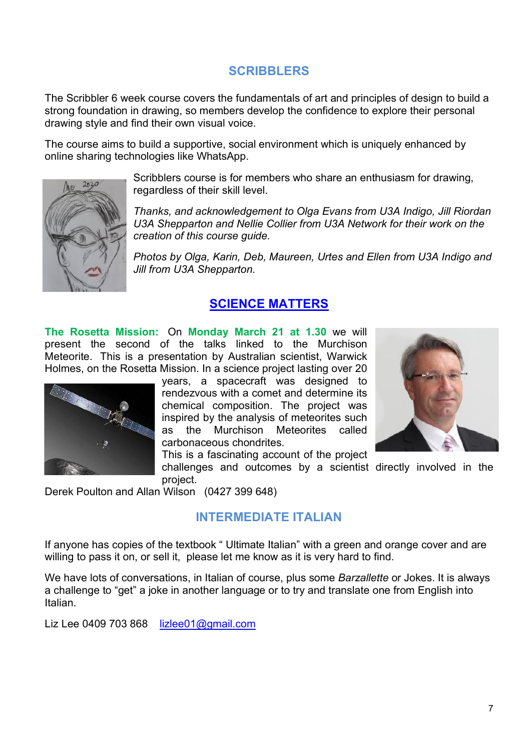# **SCRIBBLERS**

The Scribbler 6 week course covers the fundamentals of art and principles of design to build a strong foundation in drawing, so members develop the confidence to explore their personal drawing style and find their own visual voice.

The course aims to build a supportive, social environment which is uniquely enhanced by online sharing technologies like WhatsApp.



Scribblers course is for members who share an enthusiasm for drawing, regardless of their skill level.

*Thanks, and acknowledgement to Olga Evans from U3A Indigo, Jill Riordan U3A Shepparton and Nellie Collier from U3A Network for their work on the creation of this course guide.*

*Photos by Olga, Karin, Deb, Maureen, Urtes and Ellen from U3A Indigo and Jill from U3A Shepparton.*

# **[SCIENCE MATTERS](https://www.gvu3a.com.au/science-matters)**

**The Rosetta Mission:** On **Monday March 21 at 1.30** we will present the second of the talks linked to the Murchison Meteorite. This is a presentation by Australian scientist, Warwick Holmes, on the Rosetta Mission. In a science project lasting over 20



years, a spacecraft was designed to rendezvous with a comet and determine its chemical composition. The project was inspired by the analysis of meteorites such as the Murchison Meteorites called carbonaceous chondrites.

This is a fascinating account of the project

challenges and outcomes by a scientist directly involved in the project.

Derek Poulton and Allan Wilson (0427 399 648)

# **INTERMEDIATE ITALIAN**

If anyone has copies of the textbook " Ultimate Italian" with a green and orange cover and are willing to pass it on, or sell it, please let me know as it is very hard to find.

We have lots of conversations, in Italian of course, plus some *Barzallette* or Jokes. It is always a challenge to "get" a joke in another language or to try and translate one from English into Italian.

Liz Lee 0409 703 868  $\frac{iz}{\log \frac{2}{\log \log x}}$